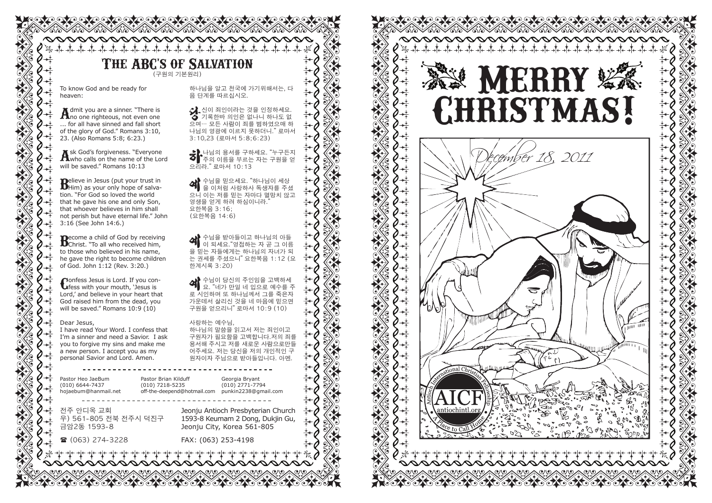## **The ABC's of Salvation** (구원의 기본원리)

<u>testestestestestestesteste</u>

a a contra da contra da contra da contra do contra do contra do contra do contra do contra do contra do contra

To know God and be ready for heaven:

Admit you are a sinner. "There is<br>Ano one righteous, not even one ... for all have sinned and fall short of the glory of God." Romans 3:10, 23. (Also Romans 5:8; 6:23.)

Ask God's forgiveness. "Everyone<br>Awho calls on the name of the Lord will be saved." Romans 10:13

**B**elieve in Jesus (put your trust in<br> **B**Him) as your only hope of salvation. "For God so loved the world that he gave his one and only Son, that whoever believes in him shall not perish but have eternal life." John 3:16 (See John 14:6.)

**B**ecome a child of God by receiving<br>
Christ. "To all who received him, to those who believed in his name, he gave the right to become children of God. John 1:12 (Rev. 3:20.)

**Confess Jesus is Lord. If you con-<br>
<b>Confess** with your mouth, 'Jesus is Lord,' and believe in your heart that God raised him from the dead, you will be saved." Romans 10:9 (10)

#### Dear Jesus,

I have read Your Word. I confess that I'm a sinner and need a Savior. I ask you to forgive my sins and make me a new person. I accept you as my personal Savior and Lord. Amen.

Pastor Heo JaeBum (010) 6644-7437 hojaebum@hanmail.net Pastor Brian Kilduff (010) 7218-5235 off-the-deepend@hotmail.com punkin2238@gmail.com

전주 안디옥 교회 우) 561-805 전북 전주시 덕진구 금암2동 1593-8

( (063) 274-3228

으리라." 로마서 10:13 영생을 얻게 하려 하심이니라." 요한복음 3:16; (요한복음 14:6) 한계시록 3:20)

4 수님이 당신의 주인임을 고백하세 요. "네가 만일 네 입으로 예수를 주 로 시인하며 또 하나님께서 그를 죽은자 가운데서 살리신 것을 네 마음에 믿으면 구원을 얻으리니" 로마서 10:9 (10)

## 사랑하는 예수님,

하나님의 말씀을 읽고서 저는 죄인이고 구원자가 필요함을 고백합니다.저의 죄를 용서해 주시고 저를 새로운 사람으로만들 어주세요. 저는 당신을 저의 개인적인 구 원자이자 주님으로 받아들입니다. 아멘.

Georgia Bryant (010) 2771-7794

Jeonju Antioch Presbyterian Church 1593-8 Keumam 2 Dong, Dukjin Gu, Jeonju City, Korea 561-805

FAX: (063) 253-4198

하나님을 알고 천국에 가기위해서는, 다 음 단계를 따르십시오. 당신이 죄인이라는 것을 인정하세요. 기록한바 의인은 없나니 하나도 없 으며… 모든 사람이 죄를 범하였으매 하 나님의 영광에 이르지 못하더니." 로마서 3:10,23 (로마서 5:8;6:23) **충} 나님의 용서를 구하세요. "누구든지**<br>◆ 주의 이름을 부르는 자는 구원을 얻  $\bigoplus$  수님을 믿으세요. "하나님이 세상 을 이처럼 사랑하사 독생자를 주셨 으니 이는 저를 믿는 자마다 멸망치 않고 < 예수님을 받아들이고 하나님의 아들<br>이 되세요. "영접하는 자 곧 그 이름 을 믿는 자들에게는 하나님의 자녀가 되 는 권세를 주셨으니" 요한복음 1:12 (요



oteo teo teo teo teo teo te